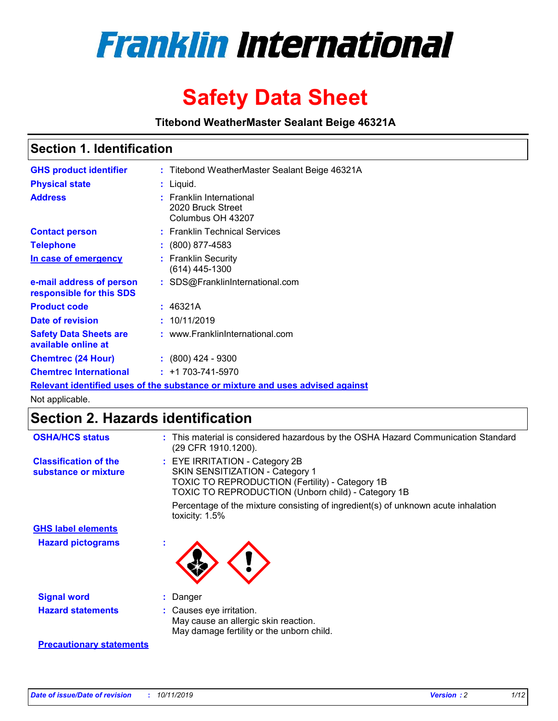

# **Safety Data Sheet**

**Titebond WeatherMaster Sealant Beige 46321A**

### **Section 1. Identification**

| <b>GHS product identifier</b>                        | : Titebond WeatherMaster Sealant Beige 46321A                                 |
|------------------------------------------------------|-------------------------------------------------------------------------------|
| <b>Physical state</b>                                | : Liquid.                                                                     |
| <b>Address</b>                                       | : Franklin International<br>2020 Bruck Street<br>Columbus OH 43207            |
| <b>Contact person</b>                                | : Franklin Technical Services                                                 |
| <b>Telephone</b>                                     | $\colon$ (800) 877-4583                                                       |
| In case of emergency                                 | : Franklin Security<br>(614) 445-1300                                         |
| e-mail address of person<br>responsible for this SDS | : SDS@FranklinInternational.com                                               |
| <b>Product code</b>                                  | : 46321A                                                                      |
| Date of revision                                     | : 10/11/2019                                                                  |
| <b>Safety Data Sheets are</b><br>available online at | : www.FranklinInternational.com                                               |
| <b>Chemtrec (24 Hour)</b>                            | $\div$ (800) 424 - 9300                                                       |
| <b>Chemtrec International</b>                        | $: +1703 - 741 - 5970$                                                        |
|                                                      | Relevant identified uses of the substance or mixture and uses advised against |

Not applicable.

## **Section 2. Hazards identification**

| <b>OSHA/HCS status</b>                               | : This material is considered hazardous by the OSHA Hazard Communication Standard<br>(29 CFR 1910.1200).                                                                          |
|------------------------------------------------------|-----------------------------------------------------------------------------------------------------------------------------------------------------------------------------------|
| <b>Classification of the</b><br>substance or mixture | : EYE IRRITATION - Category 2B<br>SKIN SENSITIZATION - Category 1<br><b>TOXIC TO REPRODUCTION (Fertility) - Category 1B</b><br>TOXIC TO REPRODUCTION (Unborn child) - Category 1B |
|                                                      | Percentage of the mixture consisting of ingredient(s) of unknown acute inhalation<br>toxicity: $1.5\%$                                                                            |
| <b>GHS label elements</b>                            |                                                                                                                                                                                   |
| <b>Hazard pictograms</b>                             |                                                                                                                                                                                   |
| <b>Signal word</b>                                   | : Danger                                                                                                                                                                          |
| <b>Hazard statements</b>                             | : Causes eye irritation.<br>May cause an allergic skin reaction.<br>May damage fertility or the unborn child.                                                                     |
| <b>Precautionary statements</b>                      |                                                                                                                                                                                   |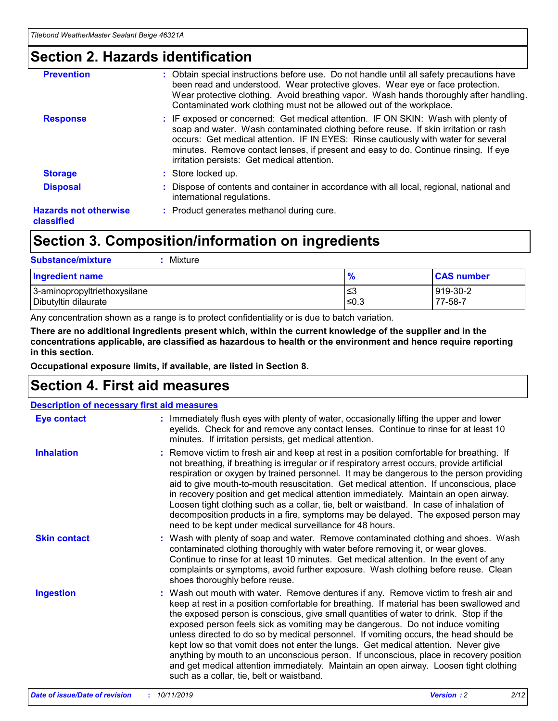### **Section 2. Hazards identification**

| <b>Prevention</b>                          | : Obtain special instructions before use. Do not handle until all safety precautions have<br>been read and understood. Wear protective gloves. Wear eye or face protection.<br>Wear protective clothing. Avoid breathing vapor. Wash hands thoroughly after handling.<br>Contaminated work clothing must not be allowed out of the workplace.                                                        |
|--------------------------------------------|------------------------------------------------------------------------------------------------------------------------------------------------------------------------------------------------------------------------------------------------------------------------------------------------------------------------------------------------------------------------------------------------------|
| <b>Response</b>                            | : IF exposed or concerned: Get medical attention. IF ON SKIN: Wash with plenty of<br>soap and water. Wash contaminated clothing before reuse. If skin irritation or rash<br>occurs: Get medical attention. IF IN EYES: Rinse cautiously with water for several<br>minutes. Remove contact lenses, if present and easy to do. Continue rinsing. If eye<br>irritation persists: Get medical attention. |
| <b>Storage</b>                             | : Store locked up.                                                                                                                                                                                                                                                                                                                                                                                   |
| <b>Disposal</b>                            | : Dispose of contents and container in accordance with all local, regional, national and<br>international regulations.                                                                                                                                                                                                                                                                               |
| <b>Hazards not otherwise</b><br>classified | : Product generates methanol during cure.                                                                                                                                                                                                                                                                                                                                                            |
|                                            |                                                                                                                                                                                                                                                                                                                                                                                                      |

### **Section 3. Composition/information on ingredients**

| <b>Substance/mixture</b><br>Mixture                  |                   |                     |
|------------------------------------------------------|-------------------|---------------------|
| <b>Ingredient name</b>                               | $\frac{9}{6}$     | <b>CAS number</b>   |
| 3-aminopropyltriethoxysilane<br>Dibutyltin dilaurate | l≤3<br>$\leq 0.3$ | 919-30-2<br>77-58-7 |

Any concentration shown as a range is to protect confidentiality or is due to batch variation.

**There are no additional ingredients present which, within the current knowledge of the supplier and in the concentrations applicable, are classified as hazardous to health or the environment and hence require reporting in this section.**

**Occupational exposure limits, if available, are listed in Section 8.**

### **Section 4. First aid measures**

| <b>Description of necessary first aid measures</b> |                                                                                                                                                                                                                                                                                                                                                                                                                                                                                                                                                                                                                                                                                                                                                                           |  |  |  |
|----------------------------------------------------|---------------------------------------------------------------------------------------------------------------------------------------------------------------------------------------------------------------------------------------------------------------------------------------------------------------------------------------------------------------------------------------------------------------------------------------------------------------------------------------------------------------------------------------------------------------------------------------------------------------------------------------------------------------------------------------------------------------------------------------------------------------------------|--|--|--|
| <b>Eye contact</b>                                 | : Immediately flush eyes with plenty of water, occasionally lifting the upper and lower<br>eyelids. Check for and remove any contact lenses. Continue to rinse for at least 10<br>minutes. If irritation persists, get medical attention.                                                                                                                                                                                                                                                                                                                                                                                                                                                                                                                                 |  |  |  |
| <b>Inhalation</b>                                  | : Remove victim to fresh air and keep at rest in a position comfortable for breathing. If<br>not breathing, if breathing is irregular or if respiratory arrest occurs, provide artificial<br>respiration or oxygen by trained personnel. It may be dangerous to the person providing<br>aid to give mouth-to-mouth resuscitation. Get medical attention. If unconscious, place<br>in recovery position and get medical attention immediately. Maintain an open airway.<br>Loosen tight clothing such as a collar, tie, belt or waistband. In case of inhalation of<br>decomposition products in a fire, symptoms may be delayed. The exposed person may<br>need to be kept under medical surveillance for 48 hours.                                                       |  |  |  |
| <b>Skin contact</b>                                | : Wash with plenty of soap and water. Remove contaminated clothing and shoes. Wash<br>contaminated clothing thoroughly with water before removing it, or wear gloves.<br>Continue to rinse for at least 10 minutes. Get medical attention. In the event of any<br>complaints or symptoms, avoid further exposure. Wash clothing before reuse. Clean<br>shoes thoroughly before reuse.                                                                                                                                                                                                                                                                                                                                                                                     |  |  |  |
| <b>Ingestion</b>                                   | : Wash out mouth with water. Remove dentures if any. Remove victim to fresh air and<br>keep at rest in a position comfortable for breathing. If material has been swallowed and<br>the exposed person is conscious, give small quantities of water to drink. Stop if the<br>exposed person feels sick as vomiting may be dangerous. Do not induce vomiting<br>unless directed to do so by medical personnel. If vomiting occurs, the head should be<br>kept low so that vomit does not enter the lungs. Get medical attention. Never give<br>anything by mouth to an unconscious person. If unconscious, place in recovery position<br>and get medical attention immediately. Maintain an open airway. Loosen tight clothing<br>such as a collar, tie, belt or waistband. |  |  |  |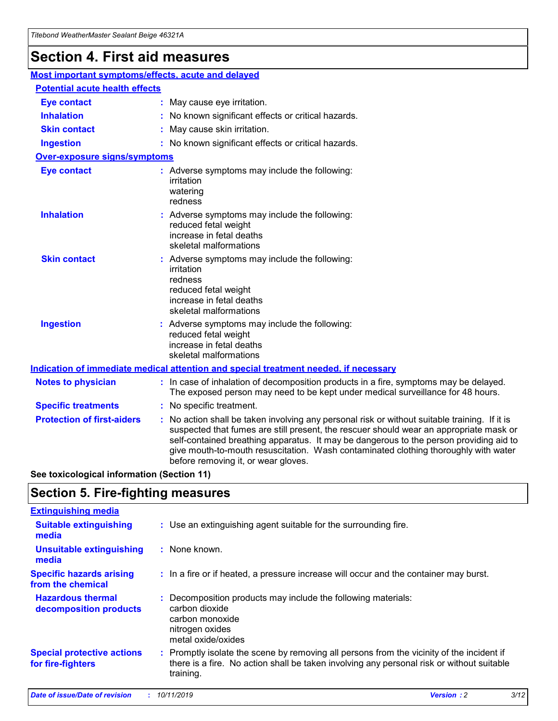## **Section 4. First aid measures**

| Most important symptoms/effects, acute and delayed |                                       |                                                                                                                                                                                                                                                                                                                                                                                                                 |  |  |  |
|----------------------------------------------------|---------------------------------------|-----------------------------------------------------------------------------------------------------------------------------------------------------------------------------------------------------------------------------------------------------------------------------------------------------------------------------------------------------------------------------------------------------------------|--|--|--|
|                                                    | <b>Potential acute health effects</b> |                                                                                                                                                                                                                                                                                                                                                                                                                 |  |  |  |
| <b>Eye contact</b>                                 |                                       | : May cause eye irritation.                                                                                                                                                                                                                                                                                                                                                                                     |  |  |  |
| <b>Inhalation</b>                                  |                                       | : No known significant effects or critical hazards.                                                                                                                                                                                                                                                                                                                                                             |  |  |  |
| <b>Skin contact</b>                                |                                       | : May cause skin irritation.                                                                                                                                                                                                                                                                                                                                                                                    |  |  |  |
| <b>Ingestion</b>                                   |                                       | : No known significant effects or critical hazards.                                                                                                                                                                                                                                                                                                                                                             |  |  |  |
| <b>Over-exposure signs/symptoms</b>                |                                       |                                                                                                                                                                                                                                                                                                                                                                                                                 |  |  |  |
| <b>Eye contact</b>                                 |                                       | : Adverse symptoms may include the following:<br>irritation<br>watering<br>redness                                                                                                                                                                                                                                                                                                                              |  |  |  |
| <b>Inhalation</b>                                  |                                       | : Adverse symptoms may include the following:<br>reduced fetal weight<br>increase in fetal deaths<br>skeletal malformations                                                                                                                                                                                                                                                                                     |  |  |  |
| <b>Skin contact</b>                                |                                       | : Adverse symptoms may include the following:<br>irritation<br>redness<br>reduced fetal weight<br>increase in fetal deaths<br>skeletal malformations                                                                                                                                                                                                                                                            |  |  |  |
| <b>Ingestion</b>                                   |                                       | : Adverse symptoms may include the following:<br>reduced fetal weight<br>increase in fetal deaths<br>skeletal malformations                                                                                                                                                                                                                                                                                     |  |  |  |
|                                                    |                                       | <b>Indication of immediate medical attention and special treatment needed, if necessary</b>                                                                                                                                                                                                                                                                                                                     |  |  |  |
| <b>Notes to physician</b>                          |                                       | : In case of inhalation of decomposition products in a fire, symptoms may be delayed.<br>The exposed person may need to be kept under medical surveillance for 48 hours.                                                                                                                                                                                                                                        |  |  |  |
| <b>Specific treatments</b>                         |                                       | : No specific treatment.                                                                                                                                                                                                                                                                                                                                                                                        |  |  |  |
| <b>Protection of first-aiders</b>                  |                                       | : No action shall be taken involving any personal risk or without suitable training. If it is<br>suspected that fumes are still present, the rescuer should wear an appropriate mask or<br>self-contained breathing apparatus. It may be dangerous to the person providing aid to<br>give mouth-to-mouth resuscitation. Wash contaminated clothing thoroughly with water<br>before removing it, or wear gloves. |  |  |  |

**See toxicological information (Section 11)**

### **Section 5. Fire-fighting measures**

| <b>Extinguishing media</b>                             |                                                                                                                                                                                                     |
|--------------------------------------------------------|-----------------------------------------------------------------------------------------------------------------------------------------------------------------------------------------------------|
| <b>Suitable extinguishing</b><br>media                 | : Use an extinguishing agent suitable for the surrounding fire.                                                                                                                                     |
| <b>Unsuitable extinguishing</b><br>media               | : None known.                                                                                                                                                                                       |
| <b>Specific hazards arising</b><br>from the chemical   | : In a fire or if heated, a pressure increase will occur and the container may burst.                                                                                                               |
| <b>Hazardous thermal</b><br>decomposition products     | : Decomposition products may include the following materials:<br>carbon dioxide<br>carbon monoxide<br>nitrogen oxides<br>metal oxide/oxides                                                         |
| <b>Special protective actions</b><br>for fire-fighters | : Promptly isolate the scene by removing all persons from the vicinity of the incident if<br>there is a fire. No action shall be taken involving any personal risk or without suitable<br>training. |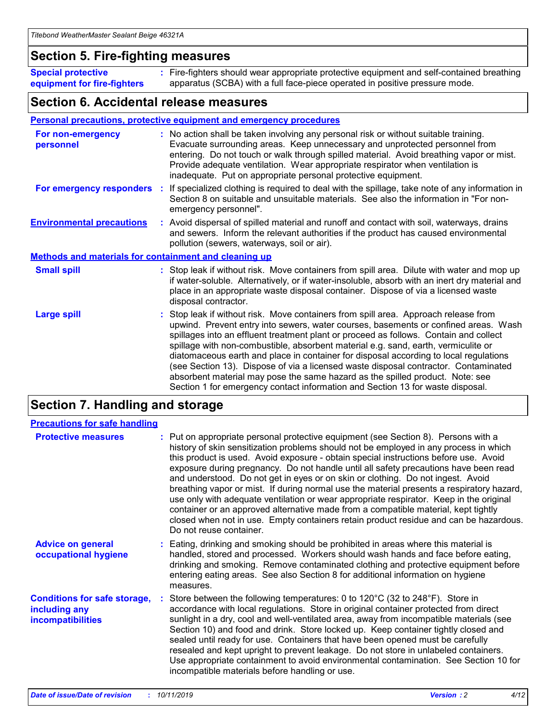### **Section 5. Fire-fighting measures**

**Special protective equipment for fire-fighters** Fire-fighters should wear appropriate protective equipment and self-contained breathing **:** apparatus (SCBA) with a full face-piece operated in positive pressure mode.

### **Section 6. Accidental release measures**

#### **Personal precautions, protective equipment and emergency procedures**

| For non-emergency<br>personnel                               | : No action shall be taken involving any personal risk or without suitable training.<br>Evacuate surrounding areas. Keep unnecessary and unprotected personnel from<br>entering. Do not touch or walk through spilled material. Avoid breathing vapor or mist.<br>Provide adequate ventilation. Wear appropriate respirator when ventilation is<br>inadequate. Put on appropriate personal protective equipment.                                                                                                                                                                                                                                                                                             |
|--------------------------------------------------------------|--------------------------------------------------------------------------------------------------------------------------------------------------------------------------------------------------------------------------------------------------------------------------------------------------------------------------------------------------------------------------------------------------------------------------------------------------------------------------------------------------------------------------------------------------------------------------------------------------------------------------------------------------------------------------------------------------------------|
|                                                              | For emergency responders : If specialized clothing is required to deal with the spillage, take note of any information in<br>Section 8 on suitable and unsuitable materials. See also the information in "For non-<br>emergency personnel".                                                                                                                                                                                                                                                                                                                                                                                                                                                                  |
| <b>Environmental precautions</b>                             | : Avoid dispersal of spilled material and runoff and contact with soil, waterways, drains<br>and sewers. Inform the relevant authorities if the product has caused environmental<br>pollution (sewers, waterways, soil or air).                                                                                                                                                                                                                                                                                                                                                                                                                                                                              |
| <b>Methods and materials for containment and cleaning up</b> |                                                                                                                                                                                                                                                                                                                                                                                                                                                                                                                                                                                                                                                                                                              |
| <b>Small spill</b>                                           | : Stop leak if without risk. Move containers from spill area. Dilute with water and mop up<br>if water-soluble. Alternatively, or if water-insoluble, absorb with an inert dry material and<br>place in an appropriate waste disposal container. Dispose of via a licensed waste<br>disposal contractor.                                                                                                                                                                                                                                                                                                                                                                                                     |
| <b>Large spill</b>                                           | : Stop leak if without risk. Move containers from spill area. Approach release from<br>upwind. Prevent entry into sewers, water courses, basements or confined areas. Wash<br>spillages into an effluent treatment plant or proceed as follows. Contain and collect<br>spillage with non-combustible, absorbent material e.g. sand, earth, vermiculite or<br>diatomaceous earth and place in container for disposal according to local regulations<br>(see Section 13). Dispose of via a licensed waste disposal contractor. Contaminated<br>absorbent material may pose the same hazard as the spilled product. Note: see<br>Section 1 for emergency contact information and Section 13 for waste disposal. |

### **Section 7. Handling and storage**

| <b>Precautions for safe handling</b>                                             |                                                                                                                                                                                                                                                                                                                                                                                                                                                                                                                                                                                                                                                                                                                                                                                                                                                  |
|----------------------------------------------------------------------------------|--------------------------------------------------------------------------------------------------------------------------------------------------------------------------------------------------------------------------------------------------------------------------------------------------------------------------------------------------------------------------------------------------------------------------------------------------------------------------------------------------------------------------------------------------------------------------------------------------------------------------------------------------------------------------------------------------------------------------------------------------------------------------------------------------------------------------------------------------|
| <b>Protective measures</b>                                                       | : Put on appropriate personal protective equipment (see Section 8). Persons with a<br>history of skin sensitization problems should not be employed in any process in which<br>this product is used. Avoid exposure - obtain special instructions before use. Avoid<br>exposure during pregnancy. Do not handle until all safety precautions have been read<br>and understood. Do not get in eyes or on skin or clothing. Do not ingest. Avoid<br>breathing vapor or mist. If during normal use the material presents a respiratory hazard,<br>use only with adequate ventilation or wear appropriate respirator. Keep in the original<br>container or an approved alternative made from a compatible material, kept tightly<br>closed when not in use. Empty containers retain product residue and can be hazardous.<br>Do not reuse container. |
| <b>Advice on general</b><br>occupational hygiene                                 | : Eating, drinking and smoking should be prohibited in areas where this material is<br>handled, stored and processed. Workers should wash hands and face before eating,<br>drinking and smoking. Remove contaminated clothing and protective equipment before<br>entering eating areas. See also Section 8 for additional information on hygiene<br>measures.                                                                                                                                                                                                                                                                                                                                                                                                                                                                                    |
| <b>Conditions for safe storage,</b><br>including any<br><b>incompatibilities</b> | : Store between the following temperatures: 0 to 120 $\degree$ C (32 to 248 $\degree$ F). Store in<br>accordance with local regulations. Store in original container protected from direct<br>sunlight in a dry, cool and well-ventilated area, away from incompatible materials (see<br>Section 10) and food and drink. Store locked up. Keep container tightly closed and<br>sealed until ready for use. Containers that have been opened must be carefully<br>resealed and kept upright to prevent leakage. Do not store in unlabeled containers.<br>Use appropriate containment to avoid environmental contamination. See Section 10 for<br>incompatible materials before handling or use.                                                                                                                                                   |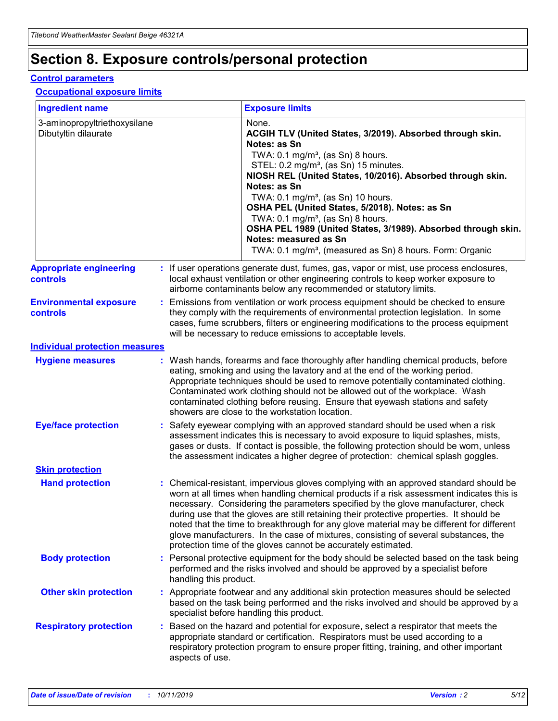## **Section 8. Exposure controls/personal protection**

#### **Control parameters**

#### **Occupational exposure limits**

| <b>Ingredient name</b>                               |    |                                          | <b>Exposure limits</b>                                                                                                                                                                                                                                                                                                                                                                                                                                                                                                                                                                                                 |
|------------------------------------------------------|----|------------------------------------------|------------------------------------------------------------------------------------------------------------------------------------------------------------------------------------------------------------------------------------------------------------------------------------------------------------------------------------------------------------------------------------------------------------------------------------------------------------------------------------------------------------------------------------------------------------------------------------------------------------------------|
| 3-aminopropyltriethoxysilane<br>Dibutyltin dilaurate |    |                                          | None.<br>ACGIH TLV (United States, 3/2019). Absorbed through skin.<br>Notes: as Sn<br>TWA: 0.1 mg/m <sup>3</sup> , (as Sn) 8 hours.<br>STEL: 0.2 mg/m <sup>3</sup> , (as Sn) 15 minutes.<br>NIOSH REL (United States, 10/2016). Absorbed through skin.<br>Notes: as Sn<br>TWA: 0.1 mg/m <sup>3</sup> , (as Sn) 10 hours.<br>OSHA PEL (United States, 5/2018). Notes: as Sn<br>TWA: $0.1 \text{ mg/m}^3$ , (as Sn) 8 hours.<br>OSHA PEL 1989 (United States, 3/1989). Absorbed through skin.<br>Notes: measured as Sn<br>TWA: 0.1 mg/m <sup>3</sup> , (measured as Sn) 8 hours. Form: Organic                           |
| <b>Appropriate engineering</b><br>controls           |    |                                          | : If user operations generate dust, fumes, gas, vapor or mist, use process enclosures,<br>local exhaust ventilation or other engineering controls to keep worker exposure to<br>airborne contaminants below any recommended or statutory limits.                                                                                                                                                                                                                                                                                                                                                                       |
| <b>Environmental exposure</b><br><b>controls</b>     |    |                                          | Emissions from ventilation or work process equipment should be checked to ensure<br>they comply with the requirements of environmental protection legislation. In some<br>cases, fume scrubbers, filters or engineering modifications to the process equipment<br>will be necessary to reduce emissions to acceptable levels.                                                                                                                                                                                                                                                                                          |
| <b>Individual protection measures</b>                |    |                                          |                                                                                                                                                                                                                                                                                                                                                                                                                                                                                                                                                                                                                        |
| <b>Hygiene measures</b>                              |    |                                          | : Wash hands, forearms and face thoroughly after handling chemical products, before<br>eating, smoking and using the lavatory and at the end of the working period.<br>Appropriate techniques should be used to remove potentially contaminated clothing.<br>Contaminated work clothing should not be allowed out of the workplace. Wash<br>contaminated clothing before reusing. Ensure that eyewash stations and safety<br>showers are close to the workstation location.                                                                                                                                            |
| <b>Eye/face protection</b>                           |    |                                          | : Safety eyewear complying with an approved standard should be used when a risk<br>assessment indicates this is necessary to avoid exposure to liquid splashes, mists,<br>gases or dusts. If contact is possible, the following protection should be worn, unless<br>the assessment indicates a higher degree of protection: chemical splash goggles.                                                                                                                                                                                                                                                                  |
| <b>Skin protection</b>                               |    |                                          |                                                                                                                                                                                                                                                                                                                                                                                                                                                                                                                                                                                                                        |
| <b>Hand protection</b>                               |    |                                          | : Chemical-resistant, impervious gloves complying with an approved standard should be<br>worn at all times when handling chemical products if a risk assessment indicates this is<br>necessary. Considering the parameters specified by the glove manufacturer, check<br>during use that the gloves are still retaining their protective properties. It should be<br>noted that the time to breakthrough for any glove material may be different for different<br>glove manufacturers. In the case of mixtures, consisting of several substances, the<br>protection time of the gloves cannot be accurately estimated. |
| <b>Body protection</b>                               |    | handling this product.                   | Personal protective equipment for the body should be selected based on the task being<br>performed and the risks involved and should be approved by a specialist before                                                                                                                                                                                                                                                                                                                                                                                                                                                |
| <b>Other skin protection</b>                         |    | specialist before handling this product. | : Appropriate footwear and any additional skin protection measures should be selected<br>based on the task being performed and the risks involved and should be approved by a                                                                                                                                                                                                                                                                                                                                                                                                                                          |
| <b>Respiratory protection</b>                        | ÷. | aspects of use.                          | Based on the hazard and potential for exposure, select a respirator that meets the<br>appropriate standard or certification. Respirators must be used according to a<br>respiratory protection program to ensure proper fitting, training, and other important                                                                                                                                                                                                                                                                                                                                                         |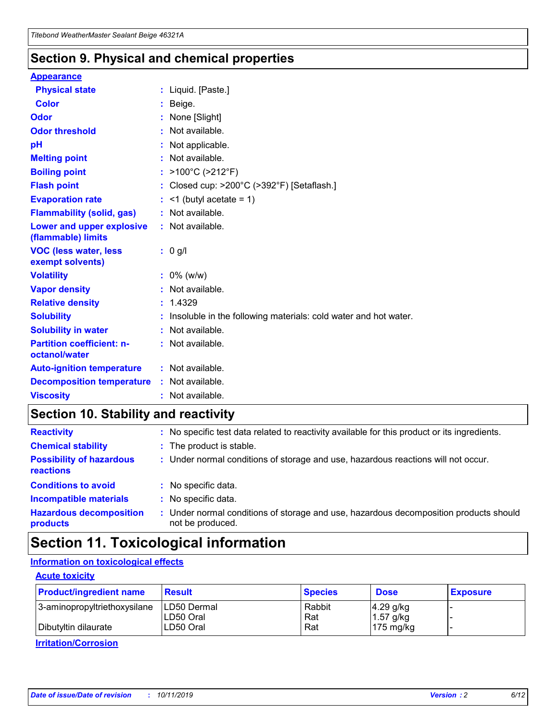### **Section 9. Physical and chemical properties**

#### **Appearance**

| <b>Physical state</b>                             | : Liquid. [Paste.]                                                |
|---------------------------------------------------|-------------------------------------------------------------------|
| Color                                             | Beige.                                                            |
| Odor                                              | None [Slight]                                                     |
| <b>Odor threshold</b>                             | : Not available.                                                  |
| рH                                                | : Not applicable.                                                 |
| <b>Melting point</b>                              | : Not available.                                                  |
| <b>Boiling point</b>                              | : $>100^{\circ}$ C ( $>212^{\circ}$ F)                            |
| <b>Flash point</b>                                | : Closed cup: $>200^{\circ}$ C ( $>392^{\circ}$ F) [Setaflash.]   |
| <b>Evaporation rate</b>                           | $:$ <1 (butyl acetate = 1)                                        |
| <b>Flammability (solid, gas)</b>                  | : Not available.                                                  |
| Lower and upper explosive<br>(flammable) limits   | : Not available.                                                  |
| <b>VOC (less water, less</b><br>exempt solvents)  | $: 0$ g/l                                                         |
| <b>Volatility</b>                                 | $: 0\%$ (w/w)                                                     |
| <b>Vapor density</b>                              | : Not available.                                                  |
| <b>Relative density</b>                           | : 1.4329                                                          |
| <b>Solubility</b>                                 | : Insoluble in the following materials: cold water and hot water. |
| <b>Solubility in water</b>                        | : Not available.                                                  |
| <b>Partition coefficient: n-</b><br>octanol/water | : Not available.                                                  |
| <b>Auto-ignition temperature</b>                  | : Not available.                                                  |
| <b>Decomposition temperature</b>                  | : Not available.                                                  |
| <b>Viscosity</b>                                  | : Not available.                                                  |

### **Section 10. Stability and reactivity**

| <b>Reactivity</b>                            |    | : No specific test data related to reactivity available for this product or its ingredients.            |
|----------------------------------------------|----|---------------------------------------------------------------------------------------------------------|
| <b>Chemical stability</b>                    |    | : The product is stable.                                                                                |
| <b>Possibility of hazardous</b><br>reactions |    | : Under normal conditions of storage and use, hazardous reactions will not occur.                       |
| <b>Conditions to avoid</b>                   |    | : No specific data.                                                                                     |
| <b>Incompatible materials</b>                | ٠. | No specific data.                                                                                       |
| <b>Hazardous decomposition</b><br>products   | ÷. | Under normal conditions of storage and use, hazardous decomposition products should<br>not be produced. |

### **Section 11. Toxicological information**

### **Information on toxicological effects**

#### **Acute toxicity**

| <b>Product/ingredient name</b> | <b>Result</b>           | <b>Species</b> | <b>Dose</b>                | <b>Exposure</b> |
|--------------------------------|-------------------------|----------------|----------------------------|-----------------|
| 3-aminopropyltriethoxysilane   | <b>ILD50 Dermal</b>     | Rabbit         | 4.29 g/kg                  |                 |
| Dibutyltin dilaurate           | ILD50 Oral<br>LD50 Oral | Rat<br>Rat     | $1.57$ g/kg<br>175 $mg/kg$ |                 |
|                                |                         |                |                            |                 |

**Irritation/Corrosion**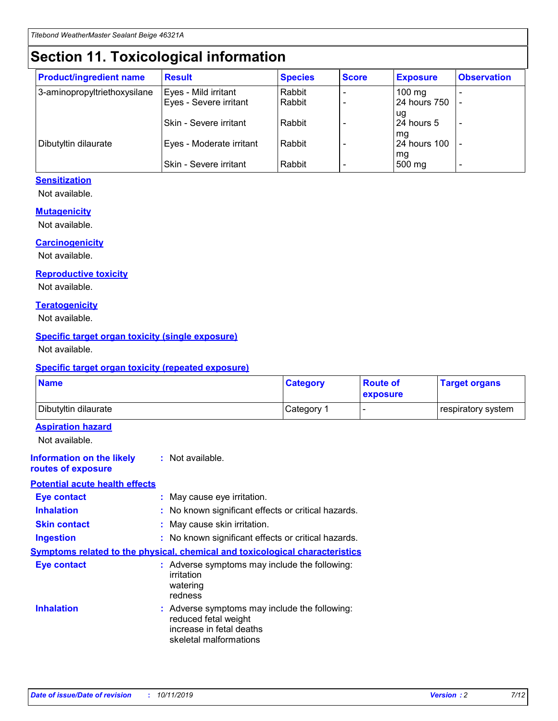## **Section 11. Toxicological information**

| <b>Product/ingredient name</b> | <b>Result</b>            | <b>Species</b> | <b>Score</b> | <b>Exposure</b>           | <b>Observation</b> |
|--------------------------------|--------------------------|----------------|--------------|---------------------------|--------------------|
| 3-aminopropyltriethoxysilane   | Eyes - Mild irritant     | Rabbit         |              | $100$ mg                  |                    |
|                                | Eyes - Severe irritant   | Rabbit         |              | 24 hours 750              |                    |
|                                |                          |                |              | ug                        |                    |
|                                | Skin - Severe irritant   | Rabbit         |              | 24 hours 5                | -                  |
| Dibutyltin dilaurate           | Eyes - Moderate irritant | Rabbit         |              | mg<br><b>24 hours 100</b> |                    |
|                                |                          |                |              | mg                        |                    |
|                                | Skin - Severe irritant   | Rabbit         |              | 500 mg                    | -                  |

### **Sensitization**

Not available.

#### **Mutagenicity**

Not available.

#### **Carcinogenicity**

Not available.

#### **Reproductive toxicity**

Not available.

#### **Teratogenicity**

Not available.

#### **Specific target organ toxicity (single exposure)**

Not available.

#### **Specific target organ toxicity (repeated exposure)**

| <b>Name</b>                                                                  |                                                                                                                             | <b>Category</b> | <b>Route of</b><br>exposure  | <b>Target organs</b> |
|------------------------------------------------------------------------------|-----------------------------------------------------------------------------------------------------------------------------|-----------------|------------------------------|----------------------|
| Dibutyltin dilaurate                                                         |                                                                                                                             | Category 1      | $\qquad \qquad \blacksquare$ | respiratory system   |
| <b>Aspiration hazard</b><br>Not available.                                   |                                                                                                                             |                 |                              |                      |
| <b>Information on the likely</b><br>routes of exposure                       | : Not available.                                                                                                            |                 |                              |                      |
| <b>Potential acute health effects</b>                                        |                                                                                                                             |                 |                              |                      |
| <b>Eye contact</b>                                                           | : May cause eye irritation.                                                                                                 |                 |                              |                      |
| <b>Inhalation</b>                                                            | : No known significant effects or critical hazards.                                                                         |                 |                              |                      |
| <b>Skin contact</b>                                                          | : May cause skin irritation.                                                                                                |                 |                              |                      |
| <b>Ingestion</b>                                                             | : No known significant effects or critical hazards.                                                                         |                 |                              |                      |
| Symptoms related to the physical, chemical and toxicological characteristics |                                                                                                                             |                 |                              |                      |
| <b>Eye contact</b>                                                           | : Adverse symptoms may include the following:<br>irritation<br>watering<br>redness                                          |                 |                              |                      |
| <b>Inhalation</b>                                                            | : Adverse symptoms may include the following:<br>reduced fetal weight<br>increase in fetal deaths<br>skeletal malformations |                 |                              |                      |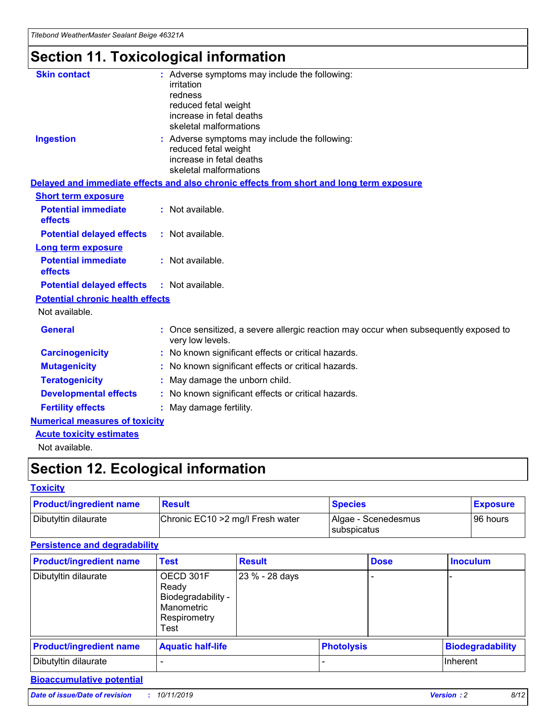## **Section 11. Toxicological information**

| <b>Skin contact</b>                     | : Adverse symptoms may include the following:<br>irritation<br>redness<br>reduced fetal weight<br>increase in fetal deaths<br>skeletal malformations |
|-----------------------------------------|------------------------------------------------------------------------------------------------------------------------------------------------------|
| <b>Ingestion</b>                        | : Adverse symptoms may include the following:<br>reduced fetal weight<br>increase in fetal deaths<br>skeletal malformations                          |
|                                         | Delayed and immediate effects and also chronic effects from short and long term exposure                                                             |
| <b>Short term exposure</b>              |                                                                                                                                                      |
| <b>Potential immediate</b><br>effects   | : Not available.                                                                                                                                     |
| <b>Potential delayed effects</b>        | : Not available.                                                                                                                                     |
| <b>Long term exposure</b>               |                                                                                                                                                      |
| <b>Potential immediate</b><br>effects   | : Not available.                                                                                                                                     |
| <b>Potential delayed effects</b>        | : Not available.                                                                                                                                     |
| <b>Potential chronic health effects</b> |                                                                                                                                                      |
| Not available.                          |                                                                                                                                                      |
| <b>General</b>                          | : Once sensitized, a severe allergic reaction may occur when subsequently exposed to<br>very low levels.                                             |
| <b>Carcinogenicity</b>                  | : No known significant effects or critical hazards.                                                                                                  |
| <b>Mutagenicity</b>                     | No known significant effects or critical hazards.                                                                                                    |
| <b>Teratogenicity</b>                   | May damage the unborn child.                                                                                                                         |
| <b>Developmental effects</b>            | No known significant effects or critical hazards.                                                                                                    |
| <b>Fertility effects</b>                | : May damage fertility.                                                                                                                              |
| <b>Numerical measures of toxicity</b>   |                                                                                                                                                      |
| <b>Acute toxicity estimates</b>         |                                                                                                                                                      |
|                                         |                                                                                                                                                      |

Not available.

## **Section 12. Ecological information**

#### **Toxicity**

| <b>Product/ingredient name</b> | <b>Result</b>                     | <b>Species</b>                       | <b>Exposure</b> |
|--------------------------------|-----------------------------------|--------------------------------------|-----------------|
| Dibutyltin dilaurate           | Chronic EC10 > 2 mg/l Fresh water | Algae - Scenedesmus<br>I subspicatus | l 96 hours i    |

### **Persistence and degradability**

| <b>Product/ingredient name</b> | <b>Test</b>                                                                    | <b>Result</b>  |                   | <b>Dose</b> | <b>Inoculum</b>         |
|--------------------------------|--------------------------------------------------------------------------------|----------------|-------------------|-------------|-------------------------|
| Dibutyltin dilaurate           | OECD 301F<br>Ready<br>Biodegradability -<br>Manometric<br>Respirometry<br>Test | 23 % - 28 days |                   |             |                         |
| <b>Product/ingredient name</b> | <b>Aquatic half-life</b>                                                       |                | <b>Photolysis</b> |             | <b>Biodegradability</b> |
| Dibutyltin dilaurate           |                                                                                |                |                   |             | Inherent                |

### **Bioaccumulative potential**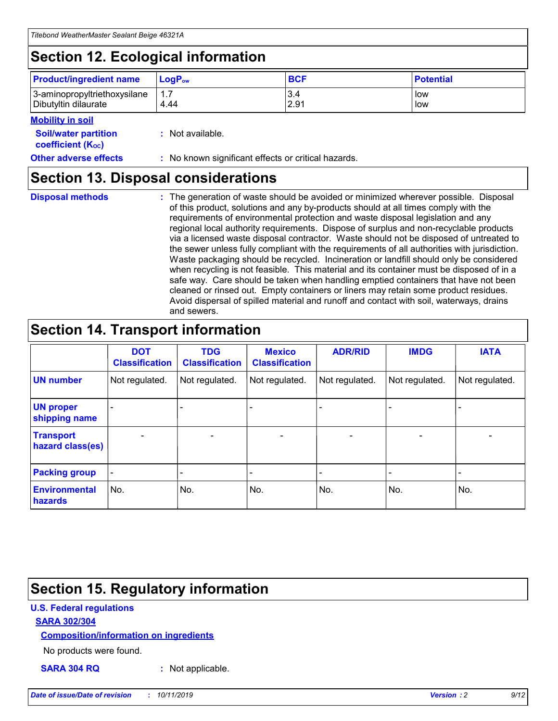## **Section 12. Ecological information**

| <b>Product/ingredient name</b> | $LoaPow$ | <b>BCF</b> | <b>Potential</b> |
|--------------------------------|----------|------------|------------------|
| 3-aminopropyltriethoxysilane   | 1.7      | 3.4        | low              |
| Dibutyltin dilaurate           | 4.44     | 2.91       | low              |

#### **Mobility in soil**

| <b>Soil/water partition</b><br>coefficient (K <sub>oc</sub> ) | : Not available.                                    |
|---------------------------------------------------------------|-----------------------------------------------------|
| <b>Other adverse effects</b>                                  | : No known significant effects or critical hazards. |

### **Section 13. Disposal considerations**

**Disposal methods :**

The generation of waste should be avoided or minimized wherever possible. Disposal of this product, solutions and any by-products should at all times comply with the requirements of environmental protection and waste disposal legislation and any regional local authority requirements. Dispose of surplus and non-recyclable products via a licensed waste disposal contractor. Waste should not be disposed of untreated to the sewer unless fully compliant with the requirements of all authorities with jurisdiction. Waste packaging should be recycled. Incineration or landfill should only be considered when recycling is not feasible. This material and its container must be disposed of in a safe way. Care should be taken when handling emptied containers that have not been cleaned or rinsed out. Empty containers or liners may retain some product residues. Avoid dispersal of spilled material and runoff and contact with soil, waterways, drains and sewers.

## **Section 14. Transport information**

|                                      | <b>DOT</b><br><b>Classification</b> | <b>TDG</b><br><b>Classification</b> | <b>Mexico</b><br><b>Classification</b> | <b>ADR/RID</b> | <b>IMDG</b>              | <b>IATA</b>              |
|--------------------------------------|-------------------------------------|-------------------------------------|----------------------------------------|----------------|--------------------------|--------------------------|
| <b>UN number</b>                     | Not regulated.                      | Not regulated.                      | Not regulated.                         | Not regulated. | Not regulated.           | Not regulated.           |
| <b>UN proper</b><br>shipping name    | $\blacksquare$                      |                                     |                                        |                |                          |                          |
| <b>Transport</b><br>hazard class(es) | $\blacksquare$                      | $\overline{\phantom{a}}$            | $\blacksquare$                         | $\blacksquare$ | $\overline{\phantom{a}}$ | $\overline{\phantom{0}}$ |
| <b>Packing group</b>                 | $\overline{\phantom{a}}$            | $\overline{\phantom{0}}$            | $\overline{\phantom{a}}$               | -              | $\overline{\phantom{0}}$ | $\overline{\phantom{a}}$ |
| <b>Environmental</b><br>hazards      | No.                                 | No.                                 | No.                                    | No.            | No.                      | No.                      |

## **Section 15. Regulatory information**

#### **U.S. Federal regulations**

#### **SARA 302/304**

#### **Composition/information on ingredients**

No products were found.

**SARA 304 RQ :** Not applicable.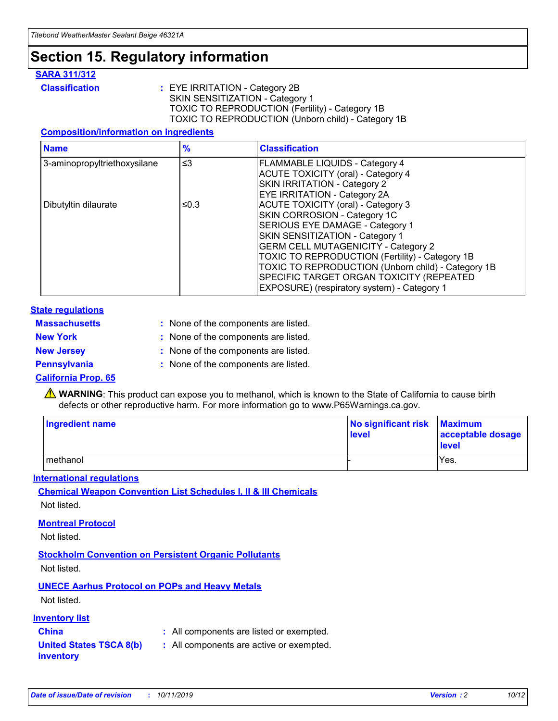### **Section 15. Regulatory information**

#### **SARA 311/312**

**Classification :** EYE IRRITATION - Category 2B SKIN SENSITIZATION - Category 1 TOXIC TO REPRODUCTION (Fertility) - Category 1B TOXIC TO REPRODUCTION (Unborn child) - Category 1B

#### **Composition/information on ingredients**

| <b>Name</b>                  | $\frac{9}{6}$ | <b>Classification</b>                                                                                            |
|------------------------------|---------------|------------------------------------------------------------------------------------------------------------------|
| 3-aminopropyltriethoxysilane | $\leq$ 3      | <b>FLAMMABLE LIQUIDS - Category 4</b><br><b>ACUTE TOXICITY (oral) - Category 4</b>                               |
|                              |               | SKIN IRRITATION - Category 2<br>EYE IRRITATION - Category 2A                                                     |
| Dibutyltin dilaurate         | ≤0.3          | ACUTE TOXICITY (oral) - Category 3<br>SKIN CORROSION - Category 1C                                               |
|                              |               | SERIOUS EYE DAMAGE - Category 1<br>SKIN SENSITIZATION - Category 1<br><b>GERM CELL MUTAGENICITY - Category 2</b> |
|                              |               | TOXIC TO REPRODUCTION (Fertility) - Category 1B<br>TOXIC TO REPRODUCTION (Unborn child) - Category 1B            |
|                              |               | SPECIFIC TARGET ORGAN TOXICITY (REPEATED<br>EXPOSURE) (respiratory system) - Category 1                          |

#### **State regulations**

| <b>Massachusetts</b> | : None of the components are listed. |
|----------------------|--------------------------------------|
| <b>New York</b>      | : None of the components are listed. |
| <b>New Jersey</b>    | : None of the components are listed. |
| <b>Pennsylvania</b>  | : None of the components are listed. |

#### **California Prop. 65**

**A** WARNING: This product can expose you to methanol, which is known to the State of California to cause birth defects or other reproductive harm. For more information go to www.P65Warnings.ca.gov.

| <b>Ingredient name</b> | No significant risk Maximum<br>level | acceptable dosage<br>level |
|------------------------|--------------------------------------|----------------------------|
| methanol               |                                      | Yes.                       |

#### **International regulations**

**Chemical Weapon Convention List Schedules I, II & III Chemicals** Not listed.

#### **Montreal Protocol**

Not listed.

#### **Stockholm Convention on Persistent Organic Pollutants**

Not listed.

### **UNECE Aarhus Protocol on POPs and Heavy Metals**

Not listed.

#### **Inventory list**

### **China :** All components are listed or exempted.

#### **United States TSCA 8(b) inventory :** All components are active or exempted.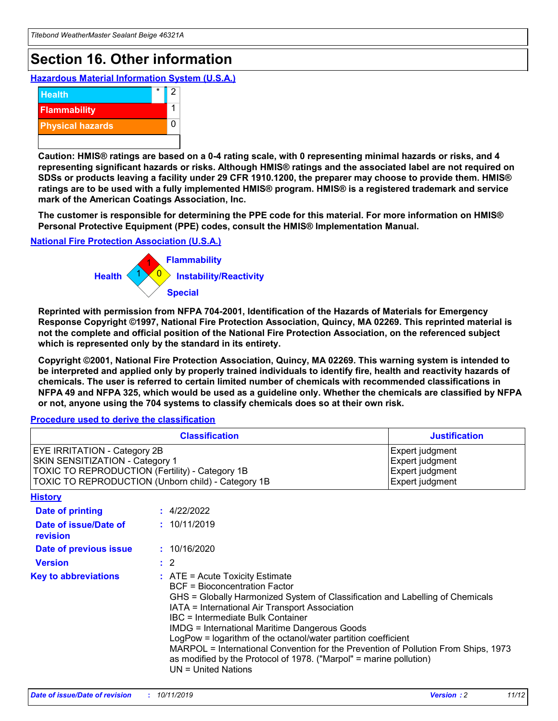## **Section 16. Other information**

**Hazardous Material Information System (U.S.A.)**



**Caution: HMIS® ratings are based on a 0-4 rating scale, with 0 representing minimal hazards or risks, and 4 representing significant hazards or risks. Although HMIS® ratings and the associated label are not required on SDSs or products leaving a facility under 29 CFR 1910.1200, the preparer may choose to provide them. HMIS® ratings are to be used with a fully implemented HMIS® program. HMIS® is a registered trademark and service mark of the American Coatings Association, Inc.**

**The customer is responsible for determining the PPE code for this material. For more information on HMIS® Personal Protective Equipment (PPE) codes, consult the HMIS® Implementation Manual.**

#### **National Fire Protection Association (U.S.A.)**



**Reprinted with permission from NFPA 704-2001, Identification of the Hazards of Materials for Emergency Response Copyright ©1997, National Fire Protection Association, Quincy, MA 02269. This reprinted material is not the complete and official position of the National Fire Protection Association, on the referenced subject which is represented only by the standard in its entirety.**

**Copyright ©2001, National Fire Protection Association, Quincy, MA 02269. This warning system is intended to be interpreted and applied only by properly trained individuals to identify fire, health and reactivity hazards of chemicals. The user is referred to certain limited number of chemicals with recommended classifications in NFPA 49 and NFPA 325, which would be used as a guideline only. Whether the chemicals are classified by NFPA or not, anyone using the 704 systems to classify chemicals does so at their own risk.**

**Procedure used to derive the classification**

| <b>Classification</b>                                                                                                                                                    |                                                                                                                                                  | <b>Justification</b>                                                                                                                                                                                                                                                                                                                                                                                                 |  |
|--------------------------------------------------------------------------------------------------------------------------------------------------------------------------|--------------------------------------------------------------------------------------------------------------------------------------------------|----------------------------------------------------------------------------------------------------------------------------------------------------------------------------------------------------------------------------------------------------------------------------------------------------------------------------------------------------------------------------------------------------------------------|--|
| EYE IRRITATION - Category 2B<br>SKIN SENSITIZATION - Category 1<br>TOXIC TO REPRODUCTION (Fertility) - Category 1B<br>TOXIC TO REPRODUCTION (Unborn child) - Category 1B |                                                                                                                                                  | Expert judgment<br>Expert judgment<br>Expert judgment<br>Expert judgment                                                                                                                                                                                                                                                                                                                                             |  |
| <b>History</b>                                                                                                                                                           |                                                                                                                                                  |                                                                                                                                                                                                                                                                                                                                                                                                                      |  |
| Date of printing                                                                                                                                                         | : 4/22/2022                                                                                                                                      |                                                                                                                                                                                                                                                                                                                                                                                                                      |  |
| Date of issue/Date of<br>revision                                                                                                                                        | : 10/11/2019                                                                                                                                     |                                                                                                                                                                                                                                                                                                                                                                                                                      |  |
| Date of previous issue                                                                                                                                                   | : 10/16/2020                                                                                                                                     |                                                                                                                                                                                                                                                                                                                                                                                                                      |  |
| <b>Version</b>                                                                                                                                                           | $\therefore$ 2                                                                                                                                   |                                                                                                                                                                                                                                                                                                                                                                                                                      |  |
| <b>Key to abbreviations</b>                                                                                                                                              | $\therefore$ ATE = Acute Toxicity Estimate<br><b>BCF</b> = Bioconcentration Factor<br>IBC = Intermediate Bulk Container<br>$UN = United Nations$ | GHS = Globally Harmonized System of Classification and Labelling of Chemicals<br>IATA = International Air Transport Association<br><b>IMDG = International Maritime Dangerous Goods</b><br>LogPow = logarithm of the octanol/water partition coefficient<br>MARPOL = International Convention for the Prevention of Pollution From Ships, 1973<br>as modified by the Protocol of 1978. ("Marpol" = marine pollution) |  |